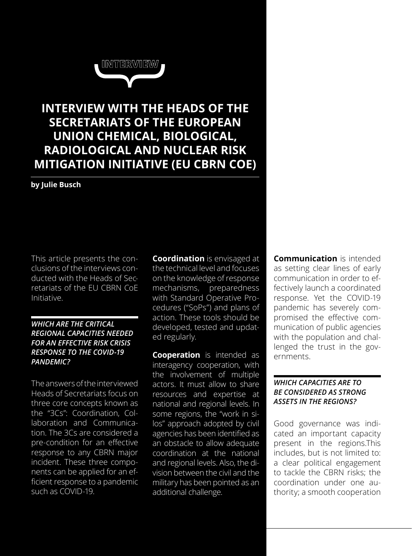

# **INTERVIEW WITH THE HEADS OF THE SECRETARIATS OF THE EUROPEAN UNION CHEMICAL, BIOLOGICAL, RADIOLOGICAL AND NUCLEAR RISK MITIGATION INITIATIVE (EU CBRN COE)**

## **by Julie Busch**

This article presents the conclusions of the interviews conducted with the Heads of Secretariats of the EU CBRN CoE Initiative.

#### *WHICH ARE THE CRITICAL REGIONAL CAPACITIES NEEDED FOR AN EFFECTIVE RISK CRISIS RESPONSE TO THE COVID-19 PANDEMIC?*

The answers of the interviewed Heads of Secretariats focus on three core concepts known as the "3Cs": Coordination, Collaboration and Communication. The 3Cs are considered a pre-condition for an effective response to any CBRN major incident. These three components can be applied for an efficient response to a pandemic such as COVID-19.

**Coordination** is envisaged at the technical level and focuses on the knowledge of response mechanisms, preparedness with Standard Operative Procedures ("SoPs") and plans of action. These tools should be developed, tested and updated regularly.

**Cooperation** is intended as interagency cooperation, with the involvement of multiple actors. It must allow to share resources and expertise at national and regional levels. In some regions, the "work in silos" approach adopted by civil agencies has been identified as an obstacle to allow adequate coordination at the national and regional levels. Also, the division between the civil and the military has been pointed as an additional challenge.

**Communication** is intended as setting clear lines of early communication in order to effectively launch a coordinated response. Yet the COVID-19 pandemic has severely compromised the effective communication of public agencies with the population and challenged the trust in the governments.

## *WHICH CAPACITIES ARE TO BE CONSIDERED AS STRONG ASSETS IN THE REGIONS?*

Good governance was indicated an important capacity present in the regions.This includes, but is not limited to: a clear political engagement to tackle the CBRN risks; the coordination under one authority; a smooth cooperation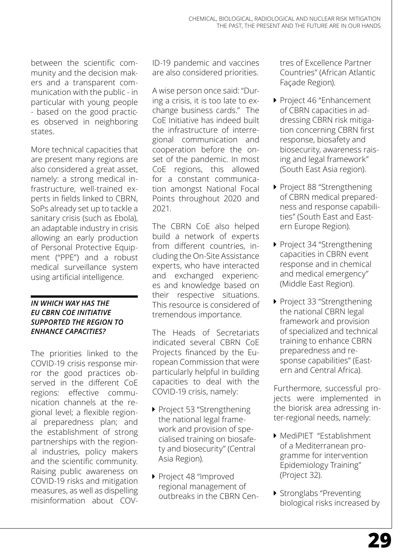between the scientific community and the decision makers and a transparent communication with the public - in particular with young people - based on the good practices observed in neighboring states.

More technical capacities that are present many regions are also considered a great asset, namely: a strong medical infrastructure, well-trained experts in fields linked to CBRN, SoPs already set up to tackle a sanitary crisis (such as Ebola), an adaptable industry in crisis allowing an early production of Personal Protective Equipment ("PPE") and a robust medical surveillance system using artificial intelligence.

# *IN WHICH WAY HAS THE EU CBRN COE INITIATIVE SUPPORTED THE REGION TO ENHANCE CAPACITIES?*

The priorities linked to the COVID-19 crisis response mirror the good practices observed in the different CoE regions: effective communication channels at the regional level; a flexible regional preparedness plan; and the establishment of strong partnerships with the regional industries, policy makers and the scientific community. Raising public awareness on COVID-19 risks and mitigation measures, as well as dispelling misinformation about COV-

ID-19 pandemic and vaccines are also considered priorities.

A wise person once said: "During a crisis, it is too late to exchange business cards." The CoE Initiative has indeed built the infrastructure of interregional communication and cooperation before the onset of the pandemic. In most CoE regions, this allowed for a constant communication amongst National Focal Points throughout 2020 and 2021.

The CBRN CoE also helped build a network of experts from different countries, including the On-Site Assistance experts, who have interacted and exchanged experiences and knowledge based on their respective situations. This resource is considered of tremendous importance.

The Heads of Secretariats indicated several CBRN CoE Projects financed by the European Commission that were particularly helpful in building capacities to deal with the COVID-19 crisis, namely:

- ▶ Project 53 "Strengthening the national legal framework and provision of specialised training on biosafety and biosecurity" (Central Asia Region).
- Project 48 "Improved regional management of outbreaks in the CBRN Cen-

tres of Excellence Partner Countries" (African Atlantic Façade Region).

- Project 46 "Enhancement of CBRN capacities in addressing CBRN risk mitigation concerning CBRN first response, biosafety and biosecurity, awareness raising and legal framework" (South East Asia region).
- Project 88 "Strengthening of CBRN medical preparedness and response capabilities" (South East and Eastern Europe Region).
- ▶ Project 34 "Strengthening capacities in CBRN event response and in chemical and medical emergency" (Middle East Region).
- ▶ Project 33 "Strengthening the national CBRN legal framework and provision of specialized and technical training to enhance CBRN preparedness and response capabilities" (Eastern and Central Africa).

Furthermore, successful projects were implemented in the biorisk area adressing inter-regional needs, namely:

- **MediPIET ["E](https://europa.eu/cbrn-risk-mitigation/projects-pool-page-use-list-page-instead/project-032-ifs_en)stablishment"** of a Mediterranean programme for intervention Epidemiology Training" (Project 32).
- **K** Stronglabs "Preventing biological risks increased by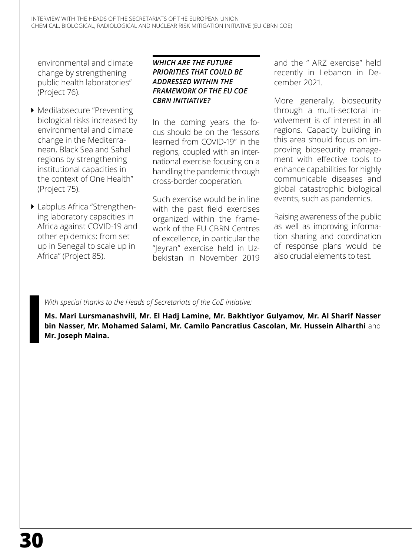environmental and climate change by strengthening public health laboratories" (Project 76).

- $\blacktriangleright$  Medilabsecure "Preventing biological risks increased by environmental and climate change in the Mediterranean, Black Sea and Sahel regions by strengthening institutional capacities in the context of One Health" (Project 75).
- **I** Labplus Africa "Strengthening laboratory capacities in Africa against COVID-19 and other epidemics: from set up in Senegal to scale up in Africa" (Project 85).

#### *WHICH ARE THE FUTURE PRIORITIES THAT COULD BE ADDRESSED WITHIN THE FRAMEWORK OF THE EU COE CBRN INITIATIVE?*

In the coming years the focus should be on the "lessons learned from COVID-19" in the regions, coupled with an international exercise focusing on a handling the pandemic through cross-border cooperation.

Such exercise would be in line with the past field exercises organized within the framework of the EU CBRN Centres of excellence, in particular the "Jeyran" exercise held in Uzbekistan in November 2019 and the " ARZ exercise" held recently in Lebanon in December 2021.

More generally, biosecurity through a multi-sectoral involvement is of interest in all regions. Capacity building in this area should focus on improving biosecurity management with effective tools to enhance capabilities for highly communicable diseases and global catastrophic biological events, such as pandemics.

Raising awareness of the public as well as improving information sharing and coordination of response plans would be also crucial elements to test.

# *With special thanks to the Heads of Secretariats of the CoE Intiative:*

**Ms. Mari Lursmanashvili, Mr. El Hadj Lamine, Mr. Bakhtiyor Gulyamov, Mr. Al Sharif Nasser bin Nasser, Mr. Mohamed Salami, Mr. Camilo Pancratius Cascolan, Mr. Hussein Alharthi** and **Mr. Joseph Maina.**